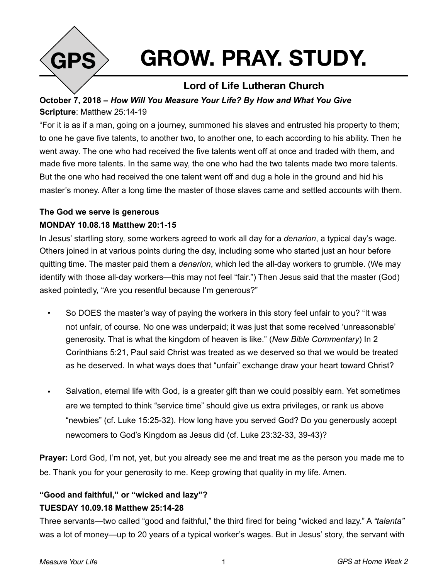

# **GROW. PRAY. STUDY.**

## **Lord of Life Lutheran Church**

## **October 7, 2018 –** *How Will You Measure Your Life? By How and What You Give*  **Scripture**: Matthew 25:14-19

"For it is as if a man, going on a journey, summoned his slaves and entrusted his property to them; to one he gave five talents, to another two, to another one, to each according to his ability. Then he went away. The one who had received the five talents went off at once and traded with them, and made five more talents. In the same way, the one who had the two talents made two more talents. But the one who had received the one talent went off and dug a hole in the ground and hid his master's money. After a long time the master of those slaves came and settled accounts with them.

### **The God we serve is generous**

#### **MONDAY 10.08.18 Matthew 20:1-15**

In Jesus' startling story, some workers agreed to work all day for a *denarion*, a typical day's wage. Others joined in at various points during the day, including some who started just an hour before quitting time. The master paid them a *denarion*, which led the all-day workers to grumble. (We may identify with those all-day workers—this may not feel "fair.") Then Jesus said that the master (God) asked pointedly, "Are you resentful because I'm generous?"

- So DOES the master's way of paying the workers in this story feel unfair to you? "It was not unfair, of course. No one was underpaid; it was just that some received 'unreasonable' generosity. That is what the kingdom of heaven is like." (*New Bible Commentary*) In 2 Corinthians 5:21, Paul said Christ was treated as we deserved so that we would be treated as he deserved. In what ways does that "unfair" exchange draw your heart toward Christ?
- Salvation, eternal life with God, is a greater gift than we could possibly earn. Yet sometimes are we tempted to think "service time" should give us extra privileges, or rank us above "newbies" (cf. Luke 15:25-32). How long have you served God? Do you generously accept newcomers to God's Kingdom as Jesus did (cf. Luke 23:32-33, 39-43)?

**Prayer:** Lord God, I'm not, yet, but you already see me and treat me as the person you made me to be. Thank you for your generosity to me. Keep growing that quality in my life. Amen.

## **"Good and faithful," or "wicked and lazy"? TUESDAY 10.09.18 Matthew 25:14-28**

Three servants—two called "good and faithful," the third fired for being "wicked and lazy." A *"talanta"*  was a lot of money—up to 20 years of a typical worker's wages. But in Jesus' story, the servant with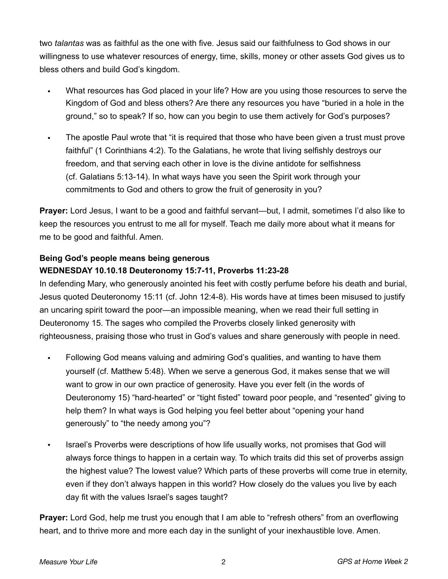two *talantas* was as faithful as the one with five. Jesus said our faithfulness to God shows in our willingness to use whatever resources of energy, time, skills, money or other assets God gives us to bless others and build God's kingdom.

- What resources has God placed in your life? How are you using those resources to serve the Kingdom of God and bless others? Are there any resources you have "buried in a hole in the ground," so to speak? If so, how can you begin to use them actively for God's purposes?
- The apostle Paul wrote that "it is required that those who have been given a trust must prove faithful" (1 Corinthians 4:2). To the Galatians, he wrote that living selfishly destroys our freedom, and that serving each other in love is the divine antidote for selfishness (cf. Galatians 5:13-14). In what ways have you seen the Spirit work through your commitments to God and others to grow the fruit of generosity in you?

**Prayer:** Lord Jesus, I want to be a good and faithful servant—but, I admit, sometimes I'd also like to keep the resources you entrust to me all for myself. Teach me daily more about what it means for me to be good and faithful. Amen.

#### **Being God's people means being generous WEDNESDAY 10.10.18 Deuteronomy 15:7-11, Proverbs 11:23-28**

In defending Mary, who generously anointed his feet with costly perfume before his death and burial, Jesus quoted Deuteronomy 15:11 (cf. John 12:4-8). His words have at times been misused to justify an uncaring spirit toward the poor—an impossible meaning, when we read their full setting in Deuteronomy 15. The sages who compiled the Proverbs closely linked generosity with righteousness, praising those who trust in God's values and share generously with people in need.

- Following God means valuing and admiring God's qualities, and wanting to have them yourself (cf. Matthew 5:48). When we serve a generous God, it makes sense that we will want to grow in our own practice of generosity. Have you ever felt (in the words of Deuteronomy 15) "hard-hearted" or "tight fisted" toward poor people, and "resented" giving to help them? In what ways is God helping you feel better about "opening your hand generously" to "the needy among you"?
- Israel's Proverbs were descriptions of how life usually works, not promises that God will always force things to happen in a certain way. To which traits did this set of proverbs assign the highest value? The lowest value? Which parts of these proverbs will come true in eternity, even if they don't always happen in this world? How closely do the values you live by each day fit with the values Israel's sages taught?

**Prayer:** Lord God, help me trust you enough that I am able to "refresh others" from an overflowing heart, and to thrive more and more each day in the sunlight of your inexhaustible love. Amen.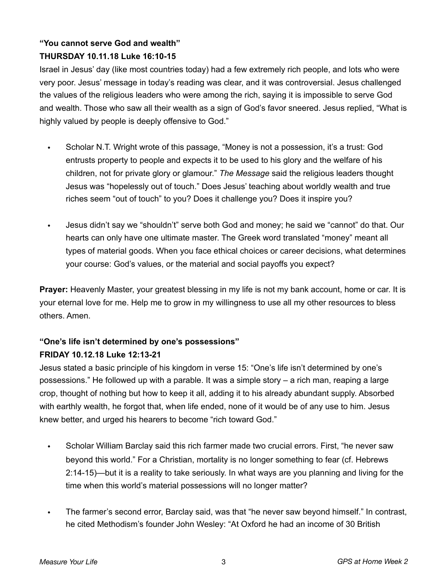## **"You cannot serve God and wealth" THURSDAY 10.11.18 Luke 16:10-15**

Israel in Jesus' day (like most countries today) had a few extremely rich people, and lots who were very poor. Jesus' message in today's reading was clear, and it was controversial. Jesus challenged the values of the religious leaders who were among the rich, saying it is impossible to serve God and wealth. Those who saw all their wealth as a sign of God's favor sneered. Jesus replied, "What is highly valued by people is deeply offensive to God."

- Scholar N.T. Wright wrote of this passage, "Money is not a possession, it's a trust: God entrusts property to people and expects it to be used to his glory and the welfare of his children, not for private glory or glamour." *The Message* said the religious leaders thought Jesus was "hopelessly out of touch." Does Jesus' teaching about worldly wealth and true riches seem "out of touch" to you? Does it challenge you? Does it inspire you?
- Jesus didn't say we "shouldn't" serve both God and money; he said we "cannot" do that. Our hearts can only have one ultimate master. The Greek word translated "money" meant all types of material goods. When you face ethical choices or career decisions, what determines your course: God's values, or the material and social payoffs you expect?

**Prayer:** Heavenly Master, your greatest blessing in my life is not my bank account, home or car. It is your eternal love for me. Help me to grow in my willingness to use all my other resources to bless others. Amen.

## **"One's life isn't determined by one's possessions"**

#### **FRIDAY 10.12.18 Luke 12:13-21**

Jesus stated a basic principle of his kingdom in verse 15: "One's life isn't determined by one's possessions." He followed up with a parable. It was a simple story – a rich man, reaping a large crop, thought of nothing but how to keep it all, adding it to his already abundant supply. Absorbed with earthly wealth, he forgot that, when life ended, none of it would be of any use to him. Jesus knew better, and urged his hearers to become "rich toward God."

- Scholar William Barclay said this rich farmer made two crucial errors. First, "he never saw beyond this world." For a Christian, mortality is no longer something to fear (cf. Hebrews 2:14-15)—but it is a reality to take seriously. In what ways are you planning and living for the time when this world's material possessions will no longer matter?
- The farmer's second error, Barclay said, was that "he never saw beyond himself." In contrast, he cited Methodism's founder John Wesley: "At Oxford he had an income of 30 British